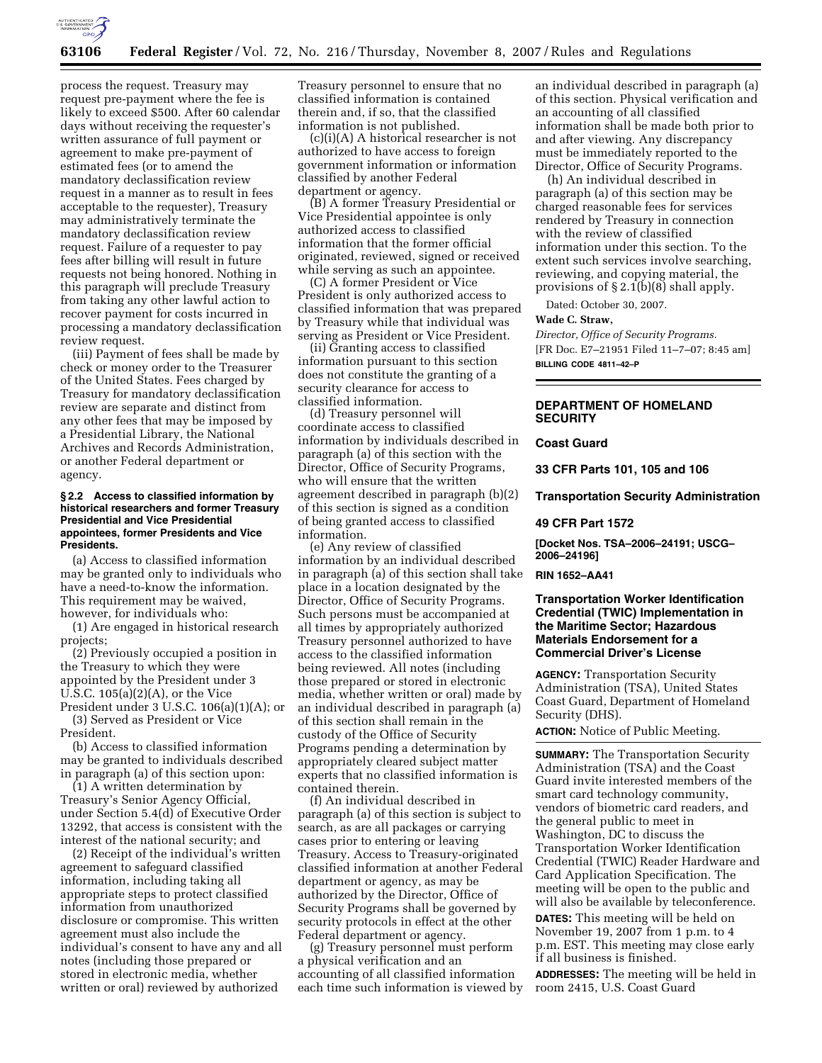

process the request. Treasury may request pre-payment where the fee is likely to exceed \$500. After 60 calendar days without receiving the requester's written assurance of full payment or agreement to make pre-payment of estimated fees (or to amend the mandatory declassification review request in a manner as to result in fees acceptable to the requester), Treasury may administratively terminate the mandatory declassification review request. Failure of a requester to pay fees after billing will result in future requests not being honored. Nothing in this paragraph will preclude Treasury from taking any other lawful action to recover payment for costs incurred in processing a mandatory declassification review request.

(iii) Payment of fees shall be made by check or money order to the Treasurer of the United States. Fees charged by Treasury for mandatory declassification review are separate and distinct from any other fees that may be imposed by a Presidential Library, the National Archives and Records Administration, or another Federal department or agency.

### **§ 2.2 Access to classified information by historical researchers and former Treasury Presidential and Vice Presidential appointees, former Presidents and Vice Presidents.**

(a) Access to classified information may be granted only to individuals who have a need-to-know the information. This requirement may be waived, however, for individuals who:

(1) Are engaged in historical research projects;

(2) Previously occupied a position in the Treasury to which they were appointed by the President under 3 U.S.C. 105(a)(2)(A), or the Vice President under 3 U.S.C. 106(a)(1)(A); or

(3) Served as President or Vice President.

(b) Access to classified information may be granted to individuals described in paragraph (a) of this section upon:

(1) A written determination by Treasury's Senior Agency Official, under Section 5.4(d) of Executive Order 13292, that access is consistent with the interest of the national security; and

(2) Receipt of the individual's written agreement to safeguard classified information, including taking all appropriate steps to protect classified information from unauthorized disclosure or compromise. This written agreement must also include the individual's consent to have any and all notes (including those prepared or stored in electronic media, whether written or oral) reviewed by authorized

Treasury personnel to ensure that no classified information is contained therein and, if so, that the classified information is not published.

(c)(i)(A) A historical researcher is not authorized to have access to foreign government information or information classified by another Federal department or agency.

(B) A former Treasury Presidential or Vice Presidential appointee is only authorized access to classified information that the former official originated, reviewed, signed or received while serving as such an appointee.

(C) A former President or Vice President is only authorized access to classified information that was prepared by Treasury while that individual was serving as President or Vice President.

(ii) Granting access to classified information pursuant to this section does not constitute the granting of a security clearance for access to classified information.

(d) Treasury personnel will coordinate access to classified information by individuals described in paragraph (a) of this section with the Director, Office of Security Programs, who will ensure that the written agreement described in paragraph (b)(2) of this section is signed as a condition of being granted access to classified information.

(e) Any review of classified information by an individual described in paragraph (a) of this section shall take place in a location designated by the Director, Office of Security Programs. Such persons must be accompanied at all times by appropriately authorized Treasury personnel authorized to have access to the classified information being reviewed. All notes (including those prepared or stored in electronic media, whether written or oral) made by an individual described in paragraph (a) of this section shall remain in the custody of the Office of Security Programs pending a determination by appropriately cleared subject matter experts that no classified information is contained therein.

(f) An individual described in paragraph (a) of this section is subject to search, as are all packages or carrying cases prior to entering or leaving Treasury. Access to Treasury-originated classified information at another Federal department or agency, as may be authorized by the Director, Office of Security Programs shall be governed by security protocols in effect at the other Federal department or agency.

(g) Treasury personnel must perform a physical verification and an accounting of all classified information each time such information is viewed by

an individual described in paragraph (a) of this section. Physical verification and an accounting of all classified information shall be made both prior to and after viewing. Any discrepancy must be immediately reported to the Director, Office of Security Programs.

(h) An individual described in paragraph (a) of this section may be charged reasonable fees for services rendered by Treasury in connection with the review of classified information under this section. To the extent such services involve searching, reviewing, and copying material, the provisions of  $\S 2.1(b)(8)$  shall apply.

Dated: October 30, 2007.

# **Wade C. Straw,**

*Director, Office of Security Programs.*  [FR Doc. E7–21951 Filed 11–7–07; 8:45 am] **BILLING CODE 4811–42–P** 

# **DEPARTMENT OF HOMELAND SECURITY**

## **Coast Guard**

**33 CFR Parts 101, 105 and 106** 

**Transportation Security Administration** 

#### **49 CFR Part 1572**

**[Docket Nos. TSA–2006–24191; USCG– 2006–24196]** 

### **RIN 1652–AA41**

## **Transportation Worker Identification Credential (TWIC) Implementation in the Maritime Sector; Hazardous Materials Endorsement for a Commercial Driver's License**

**AGENCY:** Transportation Security Administration (TSA), United States Coast Guard, Department of Homeland Security (DHS).

**ACTION:** Notice of Public Meeting.

**SUMMARY:** The Transportation Security Administration (TSA) and the Coast Guard invite interested members of the smart card technology community, vendors of biometric card readers, and the general public to meet in Washington, DC to discuss the Transportation Worker Identification Credential (TWIC) Reader Hardware and Card Application Specification. The meeting will be open to the public and will also be available by teleconference.

**DATES:** This meeting will be held on November 19, 2007 from 1 p.m. to 4 p.m. EST. This meeting may close early if all business is finished.

**ADDRESSES:** The meeting will be held in room 2415, U.S. Coast Guard